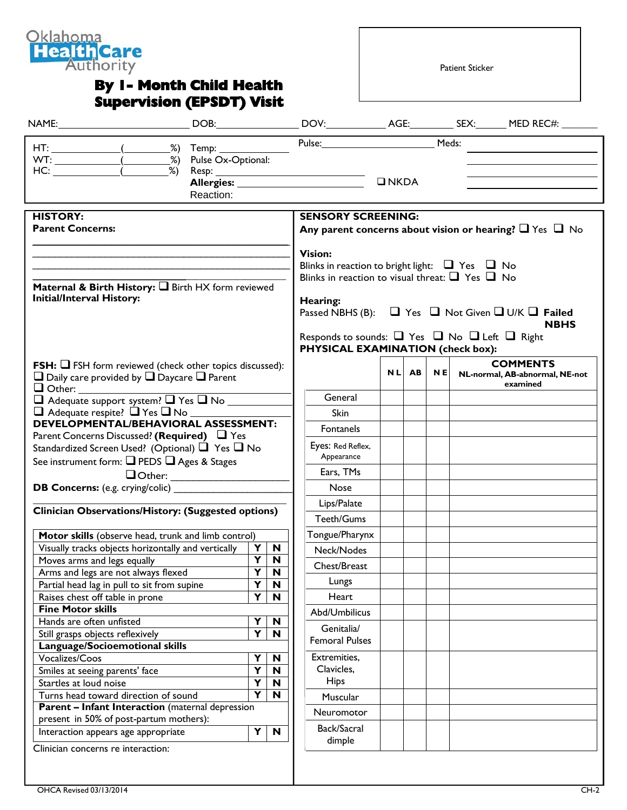

## **By 1- Month Child Health Supervision (EPSDT) Visit**

Patient Sticker

|                                                                                                            |  |           |                           |                           | Pulse: Meds:                                                      |               |       |           |                                                                       |
|------------------------------------------------------------------------------------------------------------|--|-----------|---------------------------|---------------------------|-------------------------------------------------------------------|---------------|-------|-----------|-----------------------------------------------------------------------|
| HT: _______________(___________%) Temp: _______________                                                    |  |           |                           |                           |                                                                   |               |       |           |                                                                       |
|                                                                                                            |  |           |                           |                           |                                                                   |               |       |           |                                                                       |
|                                                                                                            |  |           |                           |                           |                                                                   | $\n  INKDA\n$ |       |           |                                                                       |
|                                                                                                            |  | Reaction: |                           |                           |                                                                   |               |       |           |                                                                       |
|                                                                                                            |  |           |                           |                           |                                                                   |               |       |           |                                                                       |
| <b>HISTORY:</b>                                                                                            |  |           | <b>SENSORY SCREENING:</b> |                           |                                                                   |               |       |           |                                                                       |
| <b>Parent Concerns:</b>                                                                                    |  |           |                           |                           |                                                                   |               |       |           | Any parent concerns about vision or hearing? $\Box$ Yes $\Box$ No     |
|                                                                                                            |  |           |                           |                           | <b>Vision:</b>                                                    |               |       |           |                                                                       |
|                                                                                                            |  |           |                           |                           | Blinks in reaction to bright light: $\Box$ Yes $\Box$ No          |               |       |           |                                                                       |
|                                                                                                            |  |           |                           |                           | Blinks in reaction to visual threat: $\Box$ Yes $\Box$ No         |               |       |           |                                                                       |
| Maternal & Birth History: I Birth HX form reviewed                                                         |  |           |                           |                           |                                                                   |               |       |           |                                                                       |
| <b>Initial/Interval History:</b>                                                                           |  |           |                           |                           | Hearing:                                                          |               |       |           |                                                                       |
|                                                                                                            |  |           |                           |                           |                                                                   |               |       |           | Passed NBHS (B): $\Box$ Yes $\Box$ Not Given $\Box$ U/K $\Box$ Failed |
|                                                                                                            |  |           |                           |                           |                                                                   |               |       |           | <b>NBHS</b>                                                           |
|                                                                                                            |  |           |                           |                           | Responds to sounds: $\Box$ Yes $\Box$ No $\Box$ Left $\Box$ Right |               |       |           |                                                                       |
|                                                                                                            |  |           |                           |                           | PHYSICAL EXAMINATION (check box):                                 |               |       |           |                                                                       |
| <b>FSH:</b> $\Box$ FSH form reviewed (check other topics discussed):                                       |  |           |                           |                           |                                                                   |               | NL AB | <b>NE</b> | <b>COMMENTS</b><br>NL-normal, AB-abnormal, NE-not                     |
| $\Box$ Daily care provided by $\Box$ Daycare $\Box$ Parent                                                 |  |           |                           |                           |                                                                   |               |       |           | examined                                                              |
|                                                                                                            |  |           |                           |                           | General                                                           |               |       |           |                                                                       |
| $\Box$ Adequate support system? $\Box$ Yes $\Box$ No $\Box$                                                |  |           |                           | <b>Skin</b>               |                                                                   |               |       |           |                                                                       |
| DEVELOPMENTAL/BEHAVIORAL ASSESSMENT:                                                                       |  |           |                           |                           |                                                                   |               |       |           |                                                                       |
| Parent Concerns Discussed? (Required) $\Box$ Yes                                                           |  |           |                           |                           | Fontanels                                                         |               |       |           |                                                                       |
| Standardized Screen Used? (Optional) ■ Yes ■ No                                                            |  |           |                           | Eyes: Red Reflex,         |                                                                   |               |       |           |                                                                       |
| See instrument form: Q PEDS Q Ages & Stages                                                                |  |           |                           | Appearance                |                                                                   |               |       |           |                                                                       |
|                                                                                                            |  |           |                           | Ears, TMs                 |                                                                   |               |       |           |                                                                       |
|                                                                                                            |  |           |                           |                           | <b>Nose</b>                                                       |               |       |           |                                                                       |
|                                                                                                            |  |           |                           |                           | Lips/Palate                                                       |               |       |           |                                                                       |
| Clinician Observations/History: (Suggested options)                                                        |  |           |                           |                           | Teeth/Gums                                                        |               |       |           |                                                                       |
|                                                                                                            |  |           |                           |                           |                                                                   |               |       |           |                                                                       |
| Motor skills (observe head, trunk and limb control)<br>Visually tracks objects horizontally and vertically |  |           |                           | Y N                       | Tongue/Pharynx                                                    |               |       |           |                                                                       |
| Moves arms and legs equally                                                                                |  |           | $\overline{\mathbf{Y}}$   | $\overline{\mathsf{N}}$   | Neck/Nodes                                                        |               |       |           |                                                                       |
| Arms and legs are not always flexed                                                                        |  |           | Y                         | $\mathbf N$               | Chest/Breast                                                      |               |       |           |                                                                       |
| Partial head lag in pull to sit from supine                                                                |  |           | Y                         | $\mathbf N$               | Lungs                                                             |               |       |           |                                                                       |
| Raises chest off table in prone                                                                            |  |           | Y                         | N                         | Heart                                                             |               |       |           |                                                                       |
| <b>Fine Motor skills</b>                                                                                   |  |           |                           |                           | Abd/Umbilicus                                                     |               |       |           |                                                                       |
| Hands are often unfisted                                                                                   |  |           | Υ                         | N                         |                                                                   |               |       |           |                                                                       |
|                                                                                                            |  |           | Y                         | N                         | Genitalia/                                                        |               |       |           |                                                                       |
|                                                                                                            |  |           |                           |                           | <b>Femoral Pulses</b>                                             |               |       |           |                                                                       |
| Still grasps objects reflexively                                                                           |  |           | Υ                         | $\mathbf N$               | Extremities,                                                      |               |       |           |                                                                       |
| Language/Socioemotional skills<br>Vocalizes/Coos                                                           |  |           |                           | $\boldsymbol{\mathsf{N}}$ | Clavicles,                                                        |               |       |           |                                                                       |
| Smiles at seeing parents' face                                                                             |  |           | $\overline{\mathbf{Y}}$   |                           |                                                                   |               |       |           |                                                                       |
| Startles at loud noise                                                                                     |  |           | Y                         | $\boldsymbol{\mathsf{N}}$ | <b>Hips</b>                                                       |               |       |           |                                                                       |
| Turns head toward direction of sound                                                                       |  |           | $\overline{\mathsf{Y}}$   | N                         | Muscular                                                          |               |       |           |                                                                       |
| <b>Parent - Infant Interaction</b> (maternal depression                                                    |  |           |                           |                           |                                                                   |               |       |           |                                                                       |
| present in 50% of post-partum mothers):                                                                    |  |           |                           |                           | Neuromotor                                                        |               |       |           |                                                                       |
| Interaction appears age appropriate                                                                        |  |           | Y                         | $\boldsymbol{\mathsf{N}}$ | Back/Sacral<br>dimple                                             |               |       |           |                                                                       |